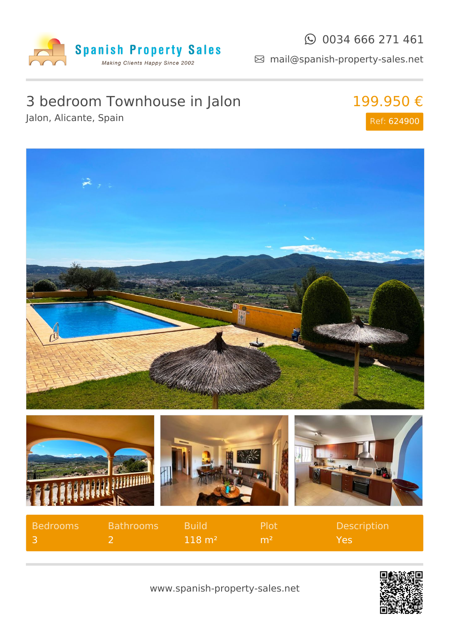

#### $\odot$  0034 666 271 461

199.950 €

Ref: 624900

mail@spanish-property-sales.net

# 3 bedroom Townhouse in Jalon

Jalon, Alicante, Spain



| <b>Bedrooms</b> | <b>Bathrooms</b> | .Build            | <b>Plot</b>    | <b>Description</b> |
|-----------------|------------------|-------------------|----------------|--------------------|
|                 |                  | $118 \text{ m}^2$ | m <sup>2</sup> | l Yes I            |

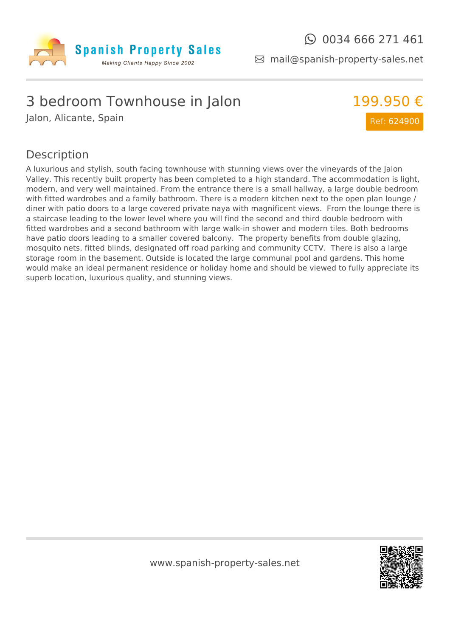

mail@spanish-property-sales.net

## 3 bedroom Townhouse in Jalon

Jalon, Alicante, Spain



#### Description

A luxurious and stylish, south facing townhouse with stunning views over the vineyards of the Jalon Valley. This recently built property has been completed to a high standard. The accommodation is light, modern, and very well maintained. From the entrance there is a small hallway, a large double bedroom with fitted wardrobes and a family bathroom. There is a modern kitchen next to the open plan lounge / diner with patio doors to a large covered private naya with magnificent views. From the lounge there is a staircase leading to the lower level where you will find the second and third double bedroom with fitted wardrobes and a second bathroom with large walk-in shower and modern tiles. Both bedrooms have patio doors leading to a smaller covered balcony. The property benefits from double glazing, mosquito nets, fitted blinds, designated off road parking and community CCTV. There is also a large storage room in the basement. Outside is located the large communal pool and gardens. This home would make an ideal permanent residence or holiday home and should be viewed to fully appreciate its superb location, luxurious quality, and stunning views.